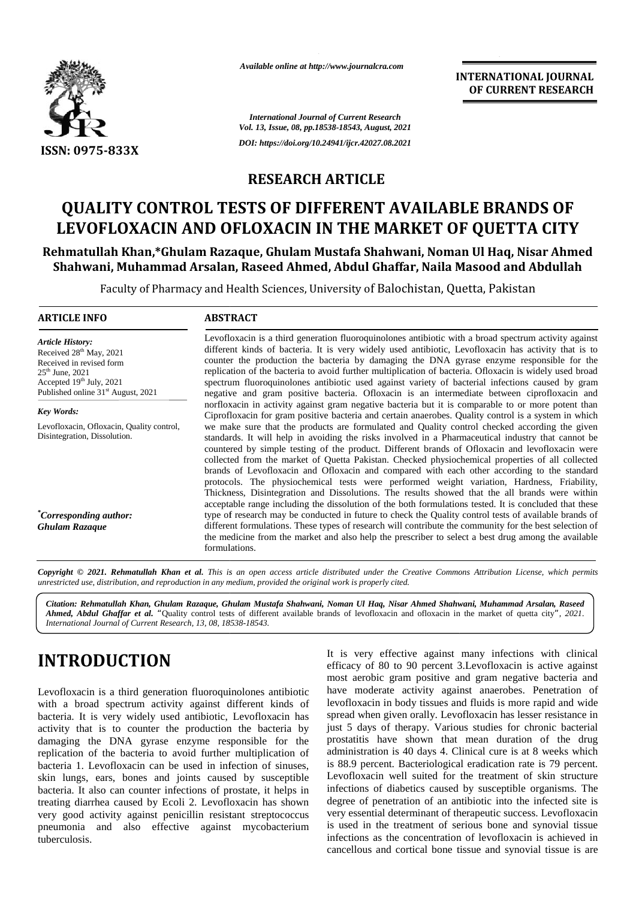

*Available online at http://www.journalcra.com*

**INTERNATIONAL JOURNAL OF CURRENT RESEARCH**

*International Journal of Current Research Vol. 13, Issue, 08, pp.18538-18543, August, 2021 DOI: https://doi.org/10.24941/ijcr.42027.08.2021*

### **RESEARCH ARTICLE**

## **QUALITY CONTROL TESTS OF DIFFERENT AVAILABLE BRANDS OF LEVOFLOXACIN AND OFLOXACIN IN THE MARKET OF QUETTA CITY OFLOXACIN IN**

#### **Rehmatullah Khan,\*Ghulam Razaque, Ghulam Mustafa Shahwani, Noman Ul Haq, Nisar Ahmed Shahwani, Muhammad Arsalan, Raseed Ahmed, Abdul Ghaffar, Naila Masood and Abdullah Masood and**

Faculty of Pharmacy and Health Sciences, University of Balochistan, Quetta, Pakistan

#### **ARTICLE INFO ABSTRACT ARTICLE ABSTRACT**

*Article History: Article History:* Received  $28<sup>th</sup>$  May,  $2021$ Received 28<sup>--</sup> May, 2021<br>Received in revised form<br>25<sup>th</sup> June. 2021  $25^{th}$  June, 2021 Received in revised form<br>25<sup>th</sup> June, 2021<br>Accepted 19<sup>th</sup> July, 2021<br>sp Published online  $31^{\text{st}}$  August, 2021

*Key Words:* Levofloxacin, Ofloxacin, Quality control, Disintegration, Dissolution.

*\*Corresponding author: Ghulam Razaque*

Levofloxacin is a third generation fluoroquinolones antibiotic with a broad spectrum activity against different kinds of bacteria. It is very widely used antibiotic, Levofloxacin has activity that is to counter the production the bacteria by damaging the DNA gyrase enzyme responsible for the replication of the bacteria to avoid further multiplication of bacteria. Ofloxacin is widely used broad spectrum fluoroquinolones antibiotic used against variety of bacterial infections caused by gram negative and gram positive bacteria. Ofloxacin is an intermediate between ciprofloxacin and norfloxacin in activity against gram negative bacteria but it is comparable to or more potent than Ciprofloxacin for gram positive bacteria and certain anaerobes. Quality control is a system in which we make sure that the products are formulated and Quality control checked according the given standards. It will help in avoiding the risks involved in a Pharmaceutical industry that cannot be countered by simple testing of the product. Different brands of Ofloxacin and levofloxacin were collected from the market of Quetta Pakistan. Checked physiochemical properties of all collected brands of Levofloxacin and Ofloxacin and compared with each other according to the standard protocols. The physiochemical tests were performed weight variation, Hardness, Friability, Thickness, Disintegration and Dissolutions. The results showed that the all brands were within acceptable range including the dissolution of the both formulations tested. It is concluded that these type of research may be conducted in future to check the Quality control tests of available brands of different formulations. These types of research will contribute the community for the best selection of the medicine from the market and also help the prescriber to select a best drug among the available formulations. Levofloxacin is a third generation fluoroquinolones antibiotic with a broad spectrum activity against different kinds of bacteria. It is very widely used antibiotic, Levofloxacin has activity that is to counter the product spectrum fluoroquinolones antibiotic used against variety of bacterial infections caused by gram<br>negative and gram positive bacteria. Ofloxacin is an intermediate between ciprofloxacin and<br>norfloxacin in activity against g Ciprofloxacin for gram positive bacteria and certain anaerobes. Quality control is a system in which<br>we make sure that the products are formulated and Quality control checked according the given<br>standards. It will help in 333X<br>
The main state and the main state and the state and the state and the state and the state and the state and the state and the state and the state and the state and the state and the state and the state and the state Quality brands the quetta *",Current13,08,18538-18543.*

Copyright © 2021. Rehmatullah Khan et al. This is an open access article distributed under the Creative Commons Attribution License, which permits unrestricted use, distribution, and reproduction in any medium, provided the original work is properly cited.

Citation: Rehmatullah Khan, Ghulam Razaque, Ghulam Mustafa Shahwani, Noman Ul Haq, Nisar Ahmed Shahwani, Muhammad Arsalan, Raseed | *Ahmed, Abdul Ghaffar et al. "*Quality control tests of different available brands of levofloxacin and ofloxacin in the market of quetta city*", 2021. International Journal of Current Research, 13, 08, 18538-18543.*

# **INTRODUCTION INTRODUCTION**

Levofloxacin is a third generation fluoroquinolones antibiotic with a broad spectrum activity against different kinds of bacteria. It is very widely used antibiotic, Levofloxacin has activity that is to counter the production the bacteria by damaging the DNA gyrase enzyme responsible for the replication of the bacteria to avoid further multiplication of bacteria 1. Levofloxacin can be used in infection of sinuses, skin lungs, ears, bones and joints caused by susceptible bacteria. It also can counter infections of prostate, it helps in treating diarrhea caused by Ecoli 2. Levofloxacin has shown very good activity against penicillin resistant streptococcus pneumonia and also effective against mycobacterium tuberculosis. Levofloxacin is a third generation fluoroquinolones antibiotic with a broad spectrum activity against different kinds of bacteria. It is very widely used antibiotic, Levofloxacin has activity that is to counter the product

It is very effective against many infections with clinical efficacy of 80 to 90 percent 3.Levofloxacin is active against most aerobic gram positive and gram negative bacteria and have moderate activity against anaerobes. Penetration of levofloxacin in body tissues and fluids is more rapid and wide spread when given orally. Levofloxacin has lesser resistance in just 5 days of therapy. Various studies for chronic bacterial prostatitis have shown that mean duration of the drug administration is 40 days 4. Clinical cure is at 8 weeks which is 88.9 percent. Bacteriological eradication rate is 79 percent. Levofloxacin well suited for the treatment of skin structure infections of diabetics caused by susceptible organisms. The degree of penetration of an antibiotic into the infected site is very essential determinant of therapeutic success. Levofloxacin is used in the treatment of serious bone and synovial tissue infections as the concentration of levofloxacin is achieved in cancellous and cortical bone tissue and synovial tissue is are Citation: Rehmatulal Khan, Ghulam Razque, Ghulam Mustafa Shahwani, Noman Ul Haq, Nisar Ahmed Shahwani, Muhammad Arsalan, Ras<br>
Ahmed, Abdul Ghaffar et al. "Quality control tests of different wailable brands of levofloxacin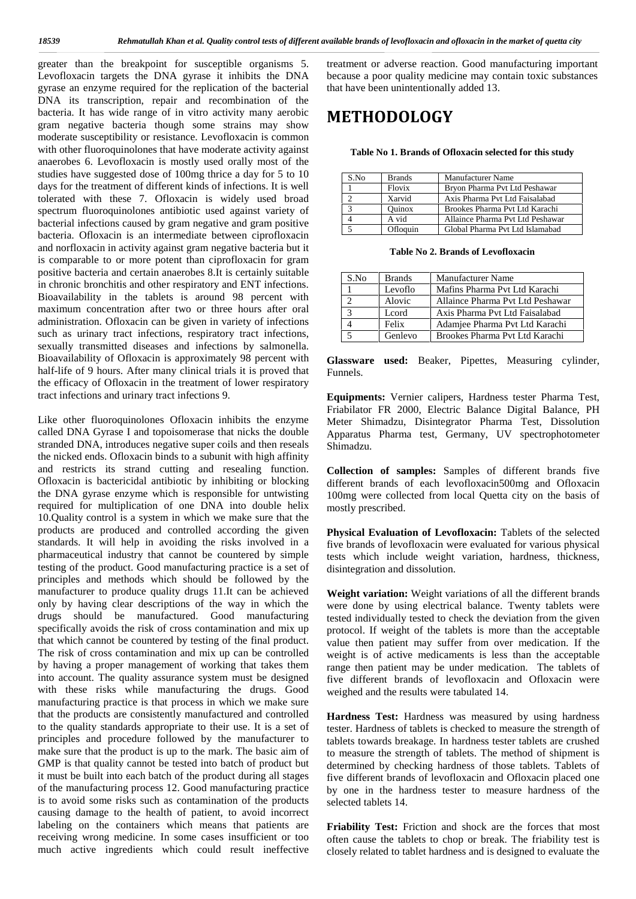greater than the breakpoint for susceptible organisms 5. Levofloxacin targets the DNA gyrase it inhibits the DNA gyrase an enzyme required for the replication of the bacterial DNA its transcription, repair and recombination of the bacteria. It has wide range of in vitro activity many aerobic gram negative bacteria though some strains may show moderate susceptibility or resistance. Levofloxacin is common with other fluoroquinolones that have moderate activity against anaerobes 6. Levofloxacin is mostly used orally most of the studies have suggested dose of 100mg thrice a day for 5 to 10 days for the treatment of different kinds of infections. It is well tolerated with these 7. Ofloxacin is widely used broad spectrum fluoroquinolones antibiotic used against variety of bacterial infections caused by gram negative and gram positive bacteria. Ofloxacin is an intermediate between ciprofloxacin and norfloxacin in activity against gram negative bacteria but it is comparable to or more potent than ciprofloxacin for gram positive bacteria and certain anaerobes 8.It is certainly suitable in chronic bronchitis and other respiratory and ENT infections. Bioavailability in the tablets is around 98 percent with maximum concentration after two or three hours after oral administration. Ofloxacin can be given in variety of infections such as urinary tract infections, respiratory tract infections, sexually transmitted diseases and infections by salmonella. Bioavailability of Ofloxacin is approximately 98 percent with half-life of 9 hours. After many clinical trials it is proved that the efficacy of Ofloxacin in the treatment of lower respiratory tract infections and urinary tract infections 9.

Like other fluoroquinolones Ofloxacin inhibits the enzyme called DNA Gyrase I and topoisomerase that nicks the double stranded DNA, introduces negative super coils and then reseals the nicked ends. Ofloxacin binds to a subunit with high affinity and restricts its strand cutting and resealing function. Ofloxacin is bactericidal antibiotic by inhibiting or blocking the DNA gyrase enzyme which is responsible for untwisting required for multiplication of one DNA into double helix 10.Quality control is a system in which we make sure that the products are produced and controlled according the given standards. It will help in avoiding the risks involved in a pharmaceutical industry that cannot be countered by simple testing of the product. Good manufacturing practice is a set of principles and methods which should be followed by the manufacturer to produce quality drugs 11.It can be achieved only by having clear descriptions of the way in which the drugs should be manufactured. Good manufacturing specifically avoids the risk of cross contamination and mix up that which cannot be countered by testing of the final product. The risk of cross contamination and mix up can be controlled by having a proper management of working that takes them into account. The quality assurance system must be designed with these risks while manufacturing the drugs. Good manufacturing practice is that process in which we make sure that the products are consistently manufactured and controlled to the quality standards appropriate to their use. It is a set of principles and procedure followed by the manufacturer to make sure that the product is up to the mark. The basic aim of GMP is that quality cannot be tested into batch of product but it must be built into each batch of the product during all stages of the manufacturing process 12. Good manufacturing practice is to avoid some risks such as contamination of the products causing damage to the health of patient, to avoid incorrect labeling on the containers which means that patients are receiving wrong medicine. In some cases insufficient or too much active ingredients which could result ineffective

treatment or adverse reaction. Good manufacturing important because a poor quality medicine may contain toxic substances that have been unintentionally added 13.

## **METHODOLOGY**

**Table No 1. Brands of Ofloxacin selected for this study**

| S.No | <b>Brands</b> | <b>Manufacturer Name</b>         |
|------|---------------|----------------------------------|
|      | Flovix        | Bryon Pharma Pvt Ltd Peshawar    |
|      | Xarvid        | Axis Pharma Pvt Ltd Faisalabad   |
|      | <b>Ouinox</b> | Brookes Pharma Pvt Ltd Karachi   |
|      | A vid         | Allaince Pharma Pvt Ltd Peshawar |
|      | Ofloquin      | Global Pharma Pvt Ltd Islamabad  |

**Table No 2. Brands of Levofloxacin**

| S.No | <b>Brands</b> | <b>Manufacturer Name</b>         |  |  |
|------|---------------|----------------------------------|--|--|
|      | Levoflo       | Mafins Pharma Pvt Ltd Karachi    |  |  |
|      | Alovic        | Allaince Pharma Pvt Ltd Peshawar |  |  |
|      | Leord         | Axis Pharma Pvt Ltd Faisalabad   |  |  |
|      | Felix         | Adamjee Pharma Pvt Ltd Karachi   |  |  |
|      | Genlevo       | Brookes Pharma Pvt Ltd Karachi   |  |  |

**Glassware used:** Beaker, Pipettes, Measuring cylinder, Funnels.

**Equipments:** Vernier calipers, Hardness tester Pharma Test, Friabilator FR 2000, Electric Balance Digital Balance, PH Meter Shimadzu, Disintegrator Pharma Test, Dissolution Apparatus Pharma test, Germany, UV spectrophotometer Shimadzu.

**Collection of samples:** Samples of different brands five different brands of each levofloxacin500mg and Ofloxacin 100mg were collected from local Quetta city on the basis of mostly prescribed.

**Physical Evaluation of Levofloxacin:** Tablets of the selected five brands of levofloxacin were evaluated for various physical tests which include weight variation, hardness, thickness, disintegration and dissolution.

**Weight variation:** Weight variations of all the different brands were done by using electrical balance. Twenty tablets were tested individually tested to check the deviation from the given protocol. If weight of the tablets is more than the acceptable value then patient may suffer from over medication. If the weight is of active medicaments is less than the acceptable range then patient may be under medication. The tablets of five different brands of levofloxacin and Ofloxacin were weighed and the results were tabulated 14.

**Hardness Test:** Hardness was measured by using hardness tester. Hardness of tablets is checked to measure the strength of tablets towards breakage. In hardness tester tablets are crushed to measure the strength of tablets. The method of shipment is determined by checking hardness of those tablets. Tablets of five different brands of levofloxacin and Ofloxacin placed one by one in the hardness tester to measure hardness of the selected tablets 14.

**Friability Test:** Friction and shock are the forces that most often cause the tablets to chop or break. The friability test is closely related to tablet hardness and is designed to evaluate the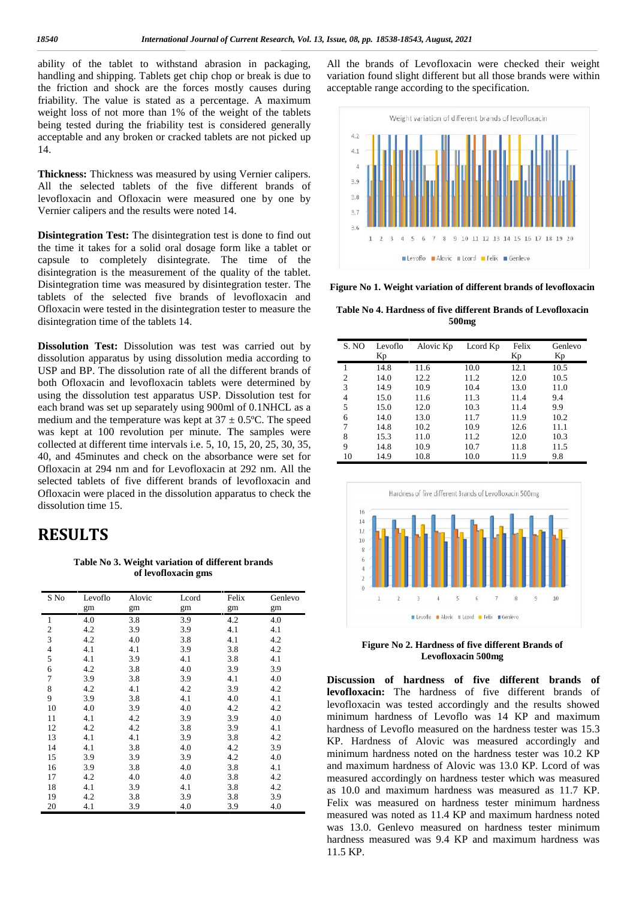## **RESULTS RESULTS**

Table No 3. Weight variation of different brands<br>of levofloxacin gms **of levofloxacin gms**

| andling and shipping. Tablets get chip chop or break is due to<br>he friction and shock are the forces mostly causes during<br>riability. The value is stated as a percentage. A maximum<br>weight loss of not more than 1% of the weight of the tablets<br>being tested during the friability test is considered generally<br>cceptable and any broken or cracked tablets are not picked up<br>4.<br>Thickness: Thickness was measured by using Vernier calipers.<br>All the selected tablets of the five different brands of<br>evofloxacin and Ofloxacin were measured one by one by<br>/ernier calipers and the results were noted 14.<br><b>Disintegration Test:</b> The disintegration test is done to find out<br>he time it takes for a solid oral dosage form like a tablet or<br>apsule to completely disintegrate. The time of the<br>lisintegration is the measurement of the quality of the tablet.<br>Disintegration time was measured by disintegration tester. The<br>ablets of the selected five brands of levofloxacin and<br>Ofloxacin were tested in the disintegration tester to measure the<br>lisintegration time of the tablets 14. |                      |            |                                                                         |            |                                                                                                                               | variation found slight different but all those brands were within<br>acceptable range according to the specification.<br>Weight variation of different brands of levofloxacin<br>4.2<br>4.1<br>4<br>3.9<br>3.8<br>3.7<br>3.6<br>6<br>9 10 11 12 13 14 15 16 17 18 19 20<br>5<br>$\overline{7}$<br>8<br>Levoflo Alovic III Lcord Felix Genlevo<br>Figure No 1. Weight variation of different brands of levofloxacin<br>Table No 4. Hardness of five different Brands of Levofloxacin<br>500 <sub>mg</sub> |              |                                                         |                           |              |                                                              | All the brands of Levofloxacin were checked their weight |
|-------------------------------------------------------------------------------------------------------------------------------------------------------------------------------------------------------------------------------------------------------------------------------------------------------------------------------------------------------------------------------------------------------------------------------------------------------------------------------------------------------------------------------------------------------------------------------------------------------------------------------------------------------------------------------------------------------------------------------------------------------------------------------------------------------------------------------------------------------------------------------------------------------------------------------------------------------------------------------------------------------------------------------------------------------------------------------------------------------------------------------------------------------------|----------------------|------------|-------------------------------------------------------------------------|------------|-------------------------------------------------------------------------------------------------------------------------------|----------------------------------------------------------------------------------------------------------------------------------------------------------------------------------------------------------------------------------------------------------------------------------------------------------------------------------------------------------------------------------------------------------------------------------------------------------------------------------------------------------|--------------|---------------------------------------------------------|---------------------------|--------------|--------------------------------------------------------------|----------------------------------------------------------|
|                                                                                                                                                                                                                                                                                                                                                                                                                                                                                                                                                                                                                                                                                                                                                                                                                                                                                                                                                                                                                                                                                                                                                             |                      |            |                                                                         |            | Dissolution Test: Dissolution was test was carried out by                                                                     | S. NO                                                                                                                                                                                                                                                                                                                                                                                                                                                                                                    | Levoflo      | Alovic Kp                                               | Lcord Kp                  | Felix        | Genlevo                                                      |                                                          |
|                                                                                                                                                                                                                                                                                                                                                                                                                                                                                                                                                                                                                                                                                                                                                                                                                                                                                                                                                                                                                                                                                                                                                             |                      |            |                                                                         |            | lissolution apparatus by using dissolution media according to                                                                 | -1                                                                                                                                                                                                                                                                                                                                                                                                                                                                                                       | Кp<br>14.8   | 11.6                                                    | 10.0                      | Кp<br>12.1   | Кp<br>10.5                                                   |                                                          |
|                                                                                                                                                                                                                                                                                                                                                                                                                                                                                                                                                                                                                                                                                                                                                                                                                                                                                                                                                                                                                                                                                                                                                             |                      |            |                                                                         |            | JSP and BP. The dissolution rate of all the different brands of<br>ooth Ofloxacin and levofloxacin tablets were determined by | 2                                                                                                                                                                                                                                                                                                                                                                                                                                                                                                        | 14.0         | 12.2                                                    | 11.2                      | 12.0         | 10.5                                                         |                                                          |
|                                                                                                                                                                                                                                                                                                                                                                                                                                                                                                                                                                                                                                                                                                                                                                                                                                                                                                                                                                                                                                                                                                                                                             |                      |            |                                                                         |            | ising the dissolution test apparatus USP. Dissolution test for                                                                | 3                                                                                                                                                                                                                                                                                                                                                                                                                                                                                                        | 14.9         | 10.9                                                    | 10.4                      | 13.0         | 11.0                                                         |                                                          |
|                                                                                                                                                                                                                                                                                                                                                                                                                                                                                                                                                                                                                                                                                                                                                                                                                                                                                                                                                                                                                                                                                                                                                             |                      |            |                                                                         |            | ach brand was set up separately using 900ml of 0.1NHCL as a                                                                   | 4<br>5                                                                                                                                                                                                                                                                                                                                                                                                                                                                                                   | 15.0<br>15.0 | 11.6<br>12.0                                            | 11.3<br>10.3              | 11.4<br>11.4 | 9.4<br>9.9                                                   |                                                          |
|                                                                                                                                                                                                                                                                                                                                                                                                                                                                                                                                                                                                                                                                                                                                                                                                                                                                                                                                                                                                                                                                                                                                                             |                      |            |                                                                         |            | nedium and the temperature was kept at $37 \pm 0.5$ °C. The speed                                                             | 6                                                                                                                                                                                                                                                                                                                                                                                                                                                                                                        | 14.0         | 13.0                                                    | 11.7                      | 11.9         | 10.2                                                         |                                                          |
|                                                                                                                                                                                                                                                                                                                                                                                                                                                                                                                                                                                                                                                                                                                                                                                                                                                                                                                                                                                                                                                                                                                                                             |                      |            |                                                                         |            | vas kept at 100 revolution per minute. The samples were                                                                       | 7                                                                                                                                                                                                                                                                                                                                                                                                                                                                                                        | 14.8         | 10.2                                                    | 10.9                      | 12.6         | 11.1                                                         |                                                          |
|                                                                                                                                                                                                                                                                                                                                                                                                                                                                                                                                                                                                                                                                                                                                                                                                                                                                                                                                                                                                                                                                                                                                                             |                      |            |                                                                         |            | ollected at different time intervals i.e. 5, 10, 15, 20, 25, 30, 35,                                                          | 8                                                                                                                                                                                                                                                                                                                                                                                                                                                                                                        | 15.3         | 11.0                                                    | 11.2                      | 12.0         | 10.3                                                         |                                                          |
|                                                                                                                                                                                                                                                                                                                                                                                                                                                                                                                                                                                                                                                                                                                                                                                                                                                                                                                                                                                                                                                                                                                                                             |                      |            |                                                                         |            | 0, and 45 minutes and check on the absorbance were set for                                                                    | 9<br>10                                                                                                                                                                                                                                                                                                                                                                                                                                                                                                  | 14.8<br>14.9 | 10.9<br>10.8                                            | 10.7<br>10.0              | 11.8<br>11.9 | 11.5<br>9.8                                                  |                                                          |
|                                                                                                                                                                                                                                                                                                                                                                                                                                                                                                                                                                                                                                                                                                                                                                                                                                                                                                                                                                                                                                                                                                                                                             |                      |            |                                                                         |            | Ofloxacin at 294 nm and for Levofloxacin at 292 nm. All the                                                                   |                                                                                                                                                                                                                                                                                                                                                                                                                                                                                                          |              |                                                         |                           |              |                                                              |                                                          |
|                                                                                                                                                                                                                                                                                                                                                                                                                                                                                                                                                                                                                                                                                                                                                                                                                                                                                                                                                                                                                                                                                                                                                             |                      |            |                                                                         |            | elected tablets of five different brands of levofloxacin and                                                                  |                                                                                                                                                                                                                                                                                                                                                                                                                                                                                                          |              |                                                         |                           |              |                                                              |                                                          |
|                                                                                                                                                                                                                                                                                                                                                                                                                                                                                                                                                                                                                                                                                                                                                                                                                                                                                                                                                                                                                                                                                                                                                             |                      |            |                                                                         |            | Ofloxacin were placed in the dissolution apparatus to check the                                                               |                                                                                                                                                                                                                                                                                                                                                                                                                                                                                                          |              | Hardness of five different Brands of Levofloxacin 500mg |                           |              |                                                              |                                                          |
|                                                                                                                                                                                                                                                                                                                                                                                                                                                                                                                                                                                                                                                                                                                                                                                                                                                                                                                                                                                                                                                                                                                                                             | lissolution time 15. |            |                                                                         |            |                                                                                                                               |                                                                                                                                                                                                                                                                                                                                                                                                                                                                                                          |              |                                                         |                           |              |                                                              |                                                          |
|                                                                                                                                                                                                                                                                                                                                                                                                                                                                                                                                                                                                                                                                                                                                                                                                                                                                                                                                                                                                                                                                                                                                                             |                      |            |                                                                         |            |                                                                                                                               | 16                                                                                                                                                                                                                                                                                                                                                                                                                                                                                                       |              |                                                         |                           |              |                                                              |                                                          |
|                                                                                                                                                                                                                                                                                                                                                                                                                                                                                                                                                                                                                                                                                                                                                                                                                                                                                                                                                                                                                                                                                                                                                             | <b>RESULTS</b>       |            | Table No 3. Weight variation of different brands<br>of levofloxacin gms |            |                                                                                                                               | 14<br>12<br>$\bar{8}$<br>6                                                                                                                                                                                                                                                                                                                                                                                                                                                                               |              |                                                         |                           |              |                                                              |                                                          |
| S No                                                                                                                                                                                                                                                                                                                                                                                                                                                                                                                                                                                                                                                                                                                                                                                                                                                                                                                                                                                                                                                                                                                                                        | Levoflo              | Alovic     | Lcord                                                                   | Felix      | Genlevo                                                                                                                       |                                                                                                                                                                                                                                                                                                                                                                                                                                                                                                          |              |                                                         |                           |              | 10                                                           |                                                          |
|                                                                                                                                                                                                                                                                                                                                                                                                                                                                                                                                                                                                                                                                                                                                                                                                                                                                                                                                                                                                                                                                                                                                                             | gm<br>4.0            | gm<br>3.8  | gm<br>3.9                                                               | gm<br>4.2  | gm<br>4.0                                                                                                                     |                                                                                                                                                                                                                                                                                                                                                                                                                                                                                                          |              | Levoflo a Alovic III Lcord E Felix E Genlevo            |                           |              |                                                              |                                                          |
| 1<br>$\overline{2}$                                                                                                                                                                                                                                                                                                                                                                                                                                                                                                                                                                                                                                                                                                                                                                                                                                                                                                                                                                                                                                                                                                                                         | 4.2                  | 3.9        | 3.9                                                                     | 4.1        | 4.1                                                                                                                           |                                                                                                                                                                                                                                                                                                                                                                                                                                                                                                          |              |                                                         |                           |              |                                                              |                                                          |
| 3                                                                                                                                                                                                                                                                                                                                                                                                                                                                                                                                                                                                                                                                                                                                                                                                                                                                                                                                                                                                                                                                                                                                                           | 4.2                  | 4.0        | 3.8                                                                     | 4.1        | 4.2                                                                                                                           |                                                                                                                                                                                                                                                                                                                                                                                                                                                                                                          |              |                                                         |                           |              |                                                              |                                                          |
| 4                                                                                                                                                                                                                                                                                                                                                                                                                                                                                                                                                                                                                                                                                                                                                                                                                                                                                                                                                                                                                                                                                                                                                           | 4.1                  | 4.1        | 3.9                                                                     | 3.8        | 4.2                                                                                                                           |                                                                                                                                                                                                                                                                                                                                                                                                                                                                                                          |              | Figure No 2. Hardness of five different Brands of       | <b>Levofloxacin 500mg</b> |              |                                                              |                                                          |
| 5                                                                                                                                                                                                                                                                                                                                                                                                                                                                                                                                                                                                                                                                                                                                                                                                                                                                                                                                                                                                                                                                                                                                                           | 4.1                  | 3.9        | 4.1                                                                     | 3.8        | 4.1                                                                                                                           |                                                                                                                                                                                                                                                                                                                                                                                                                                                                                                          |              |                                                         |                           |              |                                                              |                                                          |
| 6<br>7                                                                                                                                                                                                                                                                                                                                                                                                                                                                                                                                                                                                                                                                                                                                                                                                                                                                                                                                                                                                                                                                                                                                                      | 4.2<br>3.9           | 3.8<br>3.8 | 4.0<br>3.9                                                              | 3.9<br>4.1 | 3.9<br>4.0                                                                                                                    |                                                                                                                                                                                                                                                                                                                                                                                                                                                                                                          |              |                                                         |                           |              | Discussion of hardness of five different brands of           |                                                          |
| 8                                                                                                                                                                                                                                                                                                                                                                                                                                                                                                                                                                                                                                                                                                                                                                                                                                                                                                                                                                                                                                                                                                                                                           | 4.2                  | 4.1        | 4.2                                                                     | 3.9        | 4.2                                                                                                                           |                                                                                                                                                                                                                                                                                                                                                                                                                                                                                                          |              |                                                         |                           |              | levofloxacin: The hardness of five different brands of       |                                                          |
| 9                                                                                                                                                                                                                                                                                                                                                                                                                                                                                                                                                                                                                                                                                                                                                                                                                                                                                                                                                                                                                                                                                                                                                           | 3.9                  | 3.8        | 4.1                                                                     | 4.0        | 4.1                                                                                                                           |                                                                                                                                                                                                                                                                                                                                                                                                                                                                                                          |              |                                                         |                           |              |                                                              |                                                          |
| 10                                                                                                                                                                                                                                                                                                                                                                                                                                                                                                                                                                                                                                                                                                                                                                                                                                                                                                                                                                                                                                                                                                                                                          | 4.0                  | 3.9        | 4.0                                                                     | 4.2        | 4.2                                                                                                                           |                                                                                                                                                                                                                                                                                                                                                                                                                                                                                                          |              |                                                         |                           |              | levofloxacin was tested accordingly and the results showed   |                                                          |
| 11                                                                                                                                                                                                                                                                                                                                                                                                                                                                                                                                                                                                                                                                                                                                                                                                                                                                                                                                                                                                                                                                                                                                                          | 4.1                  | 4.2        | 3.9                                                                     | 3.9        | 4.0                                                                                                                           |                                                                                                                                                                                                                                                                                                                                                                                                                                                                                                          |              |                                                         |                           |              | minimum hardness of Levoflo was 14 KP and maximum            |                                                          |
| 12                                                                                                                                                                                                                                                                                                                                                                                                                                                                                                                                                                                                                                                                                                                                                                                                                                                                                                                                                                                                                                                                                                                                                          | 4.2                  | 4.2        | 3.8                                                                     | 3.9        | 4.1                                                                                                                           |                                                                                                                                                                                                                                                                                                                                                                                                                                                                                                          |              |                                                         |                           |              | hardness of Levoflo measured on the hardness tester was 15.3 |                                                          |
| 13<br>14                                                                                                                                                                                                                                                                                                                                                                                                                                                                                                                                                                                                                                                                                                                                                                                                                                                                                                                                                                                                                                                                                                                                                    | 4.1<br>4.1           | 4.1<br>3.8 | 3.9<br>4.0                                                              | 3.8<br>4.2 | 4.2<br>3.9                                                                                                                    |                                                                                                                                                                                                                                                                                                                                                                                                                                                                                                          |              |                                                         |                           |              | KP. Hardness of Alovic was measured accordingly and          |                                                          |
| 15                                                                                                                                                                                                                                                                                                                                                                                                                                                                                                                                                                                                                                                                                                                                                                                                                                                                                                                                                                                                                                                                                                                                                          | 3.9                  | 3.9        | 3.9                                                                     | 4.2        | 4.0                                                                                                                           |                                                                                                                                                                                                                                                                                                                                                                                                                                                                                                          |              |                                                         |                           |              | minimum hardness noted on the hardness tester was 10.2 KP    |                                                          |
| 16                                                                                                                                                                                                                                                                                                                                                                                                                                                                                                                                                                                                                                                                                                                                                                                                                                                                                                                                                                                                                                                                                                                                                          | 3.9                  | 3.8        | 4.0                                                                     | 3.8        | 4.1                                                                                                                           |                                                                                                                                                                                                                                                                                                                                                                                                                                                                                                          |              |                                                         |                           |              | and maximum hardness of Alovic was 13.0 KP. Lcord of was     |                                                          |
| 17                                                                                                                                                                                                                                                                                                                                                                                                                                                                                                                                                                                                                                                                                                                                                                                                                                                                                                                                                                                                                                                                                                                                                          | 4.2                  | 4.0        | 4.0                                                                     | 3.8        | 4.2                                                                                                                           |                                                                                                                                                                                                                                                                                                                                                                                                                                                                                                          |              |                                                         |                           |              | measured accordingly on hardness tester which was measured   |                                                          |
| 18                                                                                                                                                                                                                                                                                                                                                                                                                                                                                                                                                                                                                                                                                                                                                                                                                                                                                                                                                                                                                                                                                                                                                          | 4.1                  | 3.9        | 4.1                                                                     | 3.8        | 4.2                                                                                                                           |                                                                                                                                                                                                                                                                                                                                                                                                                                                                                                          |              |                                                         |                           |              | as 10.0 and maximum hardness was measured as 11.7 KP.        |                                                          |
| 19                                                                                                                                                                                                                                                                                                                                                                                                                                                                                                                                                                                                                                                                                                                                                                                                                                                                                                                                                                                                                                                                                                                                                          | 4.2                  | 3.8        | 3.9                                                                     | 3.8        | 3.9                                                                                                                           |                                                                                                                                                                                                                                                                                                                                                                                                                                                                                                          |              |                                                         |                           |              | Felix was measured on hardness tester minimum hardness       |                                                          |
| 20                                                                                                                                                                                                                                                                                                                                                                                                                                                                                                                                                                                                                                                                                                                                                                                                                                                                                                                                                                                                                                                                                                                                                          | 4.1                  | 3.9        | 4.0                                                                     | 3.9        | 4.0                                                                                                                           |                                                                                                                                                                                                                                                                                                                                                                                                                                                                                                          |              |                                                         |                           |              | measured was noted as 11.4 KP and maximum hardness noted     |                                                          |



**Figure No 1. Weight variation of different brands of levofloxacin**

**Table No 4. Hardness of five different Brands of Levofloxacin 500mg 500mg**

| S. NO          | Levoflo<br>Kp | Alovic Kp | Lcord Kp | Felix<br>Kp | Genlevo<br>Kр |
|----------------|---------------|-----------|----------|-------------|---------------|
|                | 14.8          | 11.6      | 10.0     | 12.1        | 10.5          |
| $\overline{2}$ | 14.0          | 12.2      | 11.2     | 12.0        | 10.5          |
| 3              | 14.9          | 10.9      | 10.4     | 13.0        | 11.0          |
| $\overline{4}$ | 15.0          | 11.6      | 11.3     | 11.4        | 9.4           |
| 5              | 15.0          | 12.0      | 10.3     | 11.4        | 9.9           |
| 6              | 14.0          | 13.0      | 11.7     | 11.9        | 10.2          |
| 7              | 14.8          | 10.2      | 10.9     | 12.6        | 11.1          |
| 8              | 15.3          | 11.0      | 11.2     | 12.0        | 10.3          |
| 9              | 14.8          | 10.9      | 10.7     | 11.8        | 11.5          |
| 10             | 14.9          | 10.8      | 10.0     | 11.9        | 9.8           |



**Figure No 2. Hardness of five different Brands of Levofloxacin 500mg**

**Discussion of hardness of five different brands of levofloxacin:** The hardness of five different brands of levofloxacin was tested accordingly and the results showed minimum hardness of Levoflo was 14 KP and maximum hardness of Levoflo measured on the hardness tester was 15.3 KP. Hardness of Alovic was measured accordingly and minimum hardness noted on the hardness tester was 10.2 KP and maximum hardness of Alovic was 13.0 KP. Lcord of was measured accordingly on hardness tester which was measured as 10.0 and maximum hardness was measured as 11.7 KP. Felix was measured on hardness tester minimum hardness measured was noted as 11.4 KP and maximum hardness noted was 13.0. Genlevo measured on hardness tester minimum hardness measured was 9.4 KP and maximum hardness was 11.5 KP. **Discussion of hardness of five different brands of levofloxacin:** The hardness of five different brands of levofloxacin was tested accordingly and the results showed minimum hardness of Levoflo was 14 KP and maximum num hardness noted on the hardness tester was 10.2 KP<br>naximum hardness of Alovic was 13.0 KP. Lcord of was<br>ured accordingly on hardness tester which was measured<br>1.0 and maximum hardness was measured as 11.7 KP.<br>was measur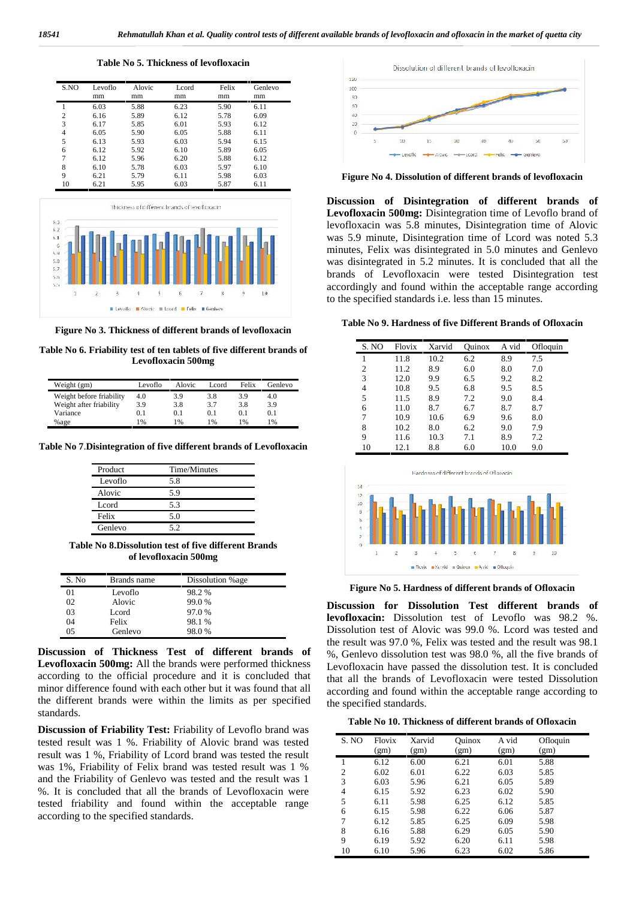**Table No 5. Thickness of levofloxacin**

| S.NO           | Levoflo<br>mm | Alovic<br>mm | Lcord<br>mm | Felix<br>mm | Genlevo<br>mm |
|----------------|---------------|--------------|-------------|-------------|---------------|
|                | 6.03          | 5.88         | 6.23        | 5.90        | 6.11          |
| $\overline{c}$ | 6.16          | 5.89         | 6.12        | 5.78        | 6.09          |
| 3              | 6.17          | 5.85         | 6.01        | 5.93        | 6.12          |
| 4              | 6.05          | 5.90         | 6.05        | 5.88        | 6.11          |
| 5              | 6.13          | 5.93         | 6.03        | 5.94        | 6.15          |
| 6              | 6.12          | 5.92         | 6.10        | 5.89        | 6.05          |
| 7              | 6.12          | 5.96         | 6.20        | 5.88        | 6.12          |
| 8              | 6.10          | 5.78         | 6.03        | 5.97        | 6.10          |
| 9              | 6.21          | 5.79         | 6.11        | 5.98        | 6.03          |
| 10             | 6.21          | 5.95         | 6.03        | 5.87        | 6.11          |



**Figure No 3. Thickness of different brands of levofloxacin**

**Table No 6. Friability test of ten tablets of five different brands of Levofloxacin 500mg**

| Weight (gm)              | Levoflo       | Alovic | Lcord | Felix | Genlevo |
|--------------------------|---------------|--------|-------|-------|---------|
| Weight before friability | 4.0           | 3.9    | 3.8   | 3.9   | 4.0     |
| Weight after friability  | 3.9           | 3.8    | 3.7   | 3.8   | 3.9     |
| Variance                 | 0.1           | 0.1    | 0.1   | 0.1   | 0.1     |
| %age                     | $\frac{9}{6}$ | l %    | 1%    | 1%    | 1%      |

**Table No 7**.**Disintegration of five different brands of Levofloxacin**

| Product           | Time/Minutes |
|-------------------|--------------|
| Levoflo           | 5.8          |
| Alovic            | 5.9          |
| L <sub>cord</sub> | 5.3          |
| Felix             | 5.0          |
| Genlevo           | 52           |

**Table No 8.Dissolution test of five different Brands of levofloxacin 500mg**

| S. No | Brands name | Dissolution %age |  |
|-------|-------------|------------------|--|
| 01    | Levoflo     | 98.2 %           |  |
| 02    | Alovic      | 99.0%            |  |
| 03    | Leord       | 97.0 %           |  |
| 04    | Felix       | 98.1 %           |  |
| 05    | Genlevo     | 98.0%            |  |

**Discussion of Thickness Test of different brands of Levofloxacin 500mg:** All the brands were performed thickness according to the official procedure and it is concluded that minor difference found with each other but it was found that all the different brands were within the limits as per specified standards.

**Discussion of Friability Test:** Friability of Levoflo brand was tested result was 1 %. Friability of Alovic brand was tested result was 1 %, Friability of Lcord brand was tested the result was 1%, Friability of Felix brand was tested result was 1 % and the Friability of Genlevo was tested and the result was 1 %. It is concluded that all the brands of Levofloxacin were tested friability and found within the acceptable range according to the specified standards.



**Figure No 4. Dissolution of different brands of levofloxacin**

**Discussion of Disintegration of different brands of Levofloxacin 500mg:** Disintegration time of Levoflo brand of levofloxacin was 5.8 minutes, Disintegration time of Alovic was 5.9 minute, Disintegration time of Lcord was noted 5.3 minutes, Felix was disintegrated in 5.0 minutes and Genlevo was disintegrated in 5.2 minutes. It is concluded that all the brands of Levofloxacin were tested Disintegration test accordingly and found within the acceptable range according to the specified standards i.e. less than 15 minutes.

#### **Table No 9. Hardness of five Different Brands of Ofloxacin**

| S. NO          | Flovix | Xarvid | Ouinox | A vid | Ofloquin |
|----------------|--------|--------|--------|-------|----------|
| 1              | 11.8   | 10.2   | 6.2    | 8.9   | 7.5      |
| $\overline{2}$ | 11.2   | 8.9    | 6.0    | 8.0   | 7.0      |
| 3              | 12.0   | 9.9    | 6.5    | 9.2   | 8.2      |
| $\overline{4}$ | 10.8   | 9.5    | 6.8    | 9.5   | 8.5      |
| 5              | 11.5   | 8.9    | 7.2    | 9.0   | 8.4      |
| 6              | 11.0   | 8.7    | 6.7    | 8.7   | 8.7      |
| 7              | 10.9   | 10.6   | 6.9    | 9.6   | 8.0      |
| 8              | 10.2   | 8.0    | 6.2    | 9.0   | 7.9      |
| 9              | 11.6   | 10.3   | 7.1    | 8.9   | 7.2      |
| 10             | 12.1   | 8.8    | 6.0    | 10.0  | 9.0      |



**Figure No 5. Hardness of different brands of Ofloxacin**

**Discussion for Dissolution Test different brands of levofloxacin:** Dissolution test of Levoflo was 98.2 %. Dissolution test of Alovic was 99.0 %. Lcord was tested and the result was 97.0 %, Felix was tested and the result was 98.1 %, Genlevo dissolution test was 98.0 %, all the five brands of Levofloxacin have passed the dissolution test. It is concluded that all the brands of Levofloxacin were tested Dissolution according and found within the acceptable range according to the specified standards.

#### **Table No 10. Thickness of different brands of Ofloxacin**

| S. NO          | Flovix<br>(gm) | Xarvid<br>(gm) | Ouinox<br>(gm) | A vid<br>(gm) | Ofloquin<br>(gm) |
|----------------|----------------|----------------|----------------|---------------|------------------|
| 1              | 6.12           | 6.00           | 6.21           | 6.01          | 5.88             |
| 2              | 6.02           | 6.01           | 6.22           | 6.03          | 5.85             |
| 3              | 6.03           | 5.96           | 6.21           | 6.05          | 5.89             |
| $\overline{4}$ | 6.15           | 5.92           | 6.23           | 6.02          | 5.90             |
| 5              | 6.11           | 5.98           | 6.25           | 6.12          | 5.85             |
| 6              | 6.15           | 5.98           | 6.22           | 6.06          | 5.87             |
| 7              | 6.12           | 5.85           | 6.25           | 6.09          | 5.98             |
| 8              | 6.16           | 5.88           | 6.29           | 6.05          | 5.90             |
| 9              | 6.19           | 5.92           | 6.20           | 6.11          | 5.98             |
| 10             | 6.10           | 5.96           | 6.23           | 6.02          | 5.86             |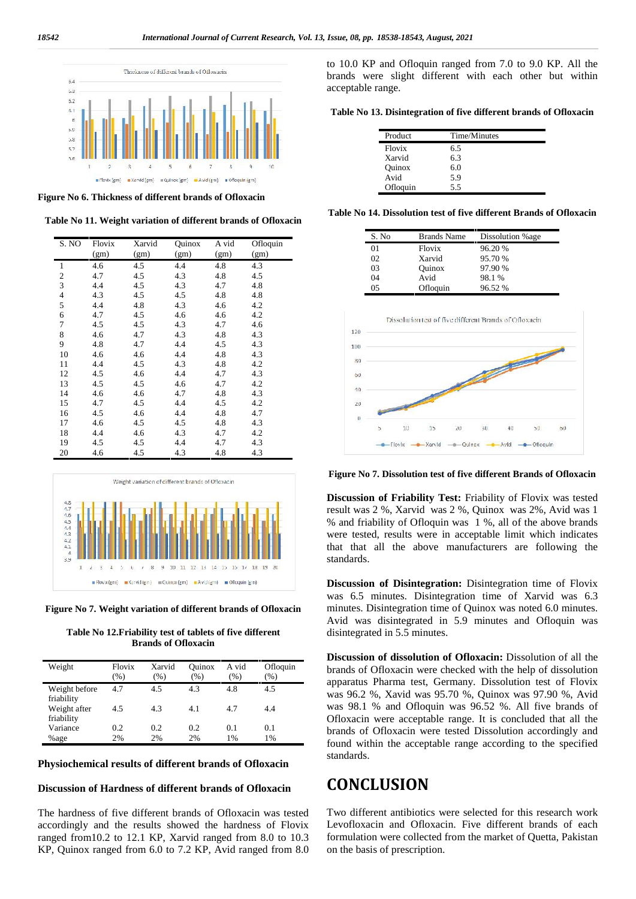$\mathbf{1}$ 



**Figure No 6. Thickness of different brands of Ofloxacin**

**Table No 11. Weight variation of different brands of Ofloxacin**

| S. NO          | Flovix<br>(gm) | Xarvid<br>(gm) | Quinox<br>(gm) | A vid<br>(gm) | Ofloquin<br>(gm) |
|----------------|----------------|----------------|----------------|---------------|------------------|
| $\mathbf{1}$   | 4.6            | 4.5            | 4.4            | 4.8           | 4.3              |
| $\overline{c}$ | 4.7            | 4.5            | 4.3            | 4.8           | 4.5              |
| $\overline{3}$ | 4.4            | 4.5            | 4.3            | 4.7           | 4.8              |
| $\overline{4}$ | 4.3            | 4.5            | 4.5            | 4.8           | 4.8              |
| 5              | 4.4            | 4.8            | 4.3            | 4.6           | 4.2              |
| 6              | 4.7            | 4.5            | 4.6            | 4.6           | 4.2              |
| 7              | 4.5            | 4.5            | 4.3            | 4.7           | 4.6              |
| 8              | 4.6            | 4.7            | 4.3            | 4.8           | 4.3              |
| 9              | 4.8            | 4.7            | 4.4            | 4.5           | 4.3              |
| 10             | 4.6            | 4.6            | 4.4            | 4.8           | 4.3              |
| 11             | 4.4            | 4.5            | 4.3            | 4.8           | 4.2              |
| 12             | 4.5            | 4.6            | 4.4            | 4.7           | 4.3              |
| 13             | 4.5            | 4.5            | 4.6            | 4.7           | 4.2              |
| 14             | 4.6            | 4.6            | 4.7            | 4.8           | 4.3              |
| 15             | 4.7            | 4.5            | 4.4            | 4.5           | 4.2              |
| 16             | 4.5            | 4.6            | 4.4            | 4.8           | 4.7              |
| 17             | 4.6            | 4.5            | 4.5            | 4.8           | 4.3              |
| 18             | 4.4            | 4.6            | 4.3            | 4.7           | 4.2              |
| 19             | 4.5            | 4.5            | 4.4            | 4.7           | 4.3              |
| 20             | 4.6            | 4.5            | 4.3            | 4.8           | 4.3              |



**Figure No 7. Weight variation of different brands of Ofloxacin**

**Table No 12.Friability test of tablets of five different Brands of Ofloxacin**

| Weight                      | Flovix<br>$\frac{9}{6}$ | Xarvid<br>(%) | Ouinox<br>$\frac{9}{6}$ | A vid<br>(%) | Ofloquin<br>$(\% )$ |
|-----------------------------|-------------------------|---------------|-------------------------|--------------|---------------------|
| Weight before<br>friability | 4.7                     | 4.5           | 4.3                     | 4.8          | 4.5                 |
| Weight after<br>friability  | 4.5                     | 4.3           | 4.1                     | 4.7          | 4.4                 |
| Variance                    | 0.2                     | 0.2           | 0.2                     | 0.1          | 0.1                 |
| %age                        | 2%                      | 2%            | 2%                      | 1%           | 1%                  |

#### **Physiochemical results of different brands of Ofloxacin**

#### **Discussion of Hardness of different brands of Ofloxacin**

The hardness of five different brands of Ofloxacin was tested accordingly and the results showed the hardness of Flovix ranged from10.2 to 12.1 KP, Xarvid ranged from 8.0 to 10.3 KP, Quinox ranged from 6.0 to 7.2 KP, Avid ranged from 8.0 to 10.0 KP and Ofloquin ranged from 7.0 to 9.0 KP. All the brands were slight different with each other but within acceptable range.

**Table No 13. Disintegration of five different brands of Ofloxacin**

| Product  | Time/Minutes |
|----------|--------------|
| Flovix   | 6.5          |
| Xarvid   | 6.3          |
| Ouinox   | 6.0          |
| Avid     | 5.9          |
| Ofloquin | 5.5          |

**Table No 14. Dissolution test of five different Brands of Ofloxacin**

| S. No | <b>Brands Name</b>                                      | Dissolution %age |
|-------|---------------------------------------------------------|------------------|
| 01    | Flovix                                                  | 96.20 %          |
| 02    | Xarvid                                                  | 95.70 %          |
| 03    | Ouinox                                                  | 97.90 %          |
| 04    | Avid                                                    | 98.1 %           |
| 05    | Ofloquin                                                | 96.52 %          |
|       | Dissolution test of five different Brands of Ofloxacin. |                  |
|       |                                                         |                  |
|       |                                                         |                  |



**Figure No 7. Dissolution test of five different Brands of Ofloxacin**

**Discussion of Friability Test:** Friability of Flovix was tested result was 2 %, Xarvid was 2 %, Quinox was 2%, Avid was 1 % and friability of Ofloquin was 1 %, all of the above brands were tested, results were in acceptable limit which indicates that that all the above manufacturers are following the standards.

**Discussion of Disintegration:** Disintegration time of Flovix was 6.5 minutes. Disintegration time of Xarvid was 6.3 minutes. Disintegration time of Quinox was noted 6.0 minutes. Avid was disintegrated in 5.9 minutes and Ofloquin was disintegrated in 5.5 minutes.

**Discussion of dissolution of Ofloxacin:** Dissolution of all the brands of Ofloxacin were checked with the help of dissolution apparatus Pharma test, Germany. Dissolution test of Flovix was 96.2 %, Xavid was 95.70 %, Quinox was 97.90 %, Avid was 98.1 % and Ofloquin was 96.52 %. All five brands of Ofloxacin were acceptable range. It is concluded that all the brands of Ofloxacin were tested Dissolution accordingly and found within the acceptable range according to the specified standards.

## **CONCLUSION**

Two different antibiotics were selected for this research work Levofloxacin and Ofloxacin. Five different brands of each formulation were collected from the market of Quetta, Pakistan on the basis of prescription.